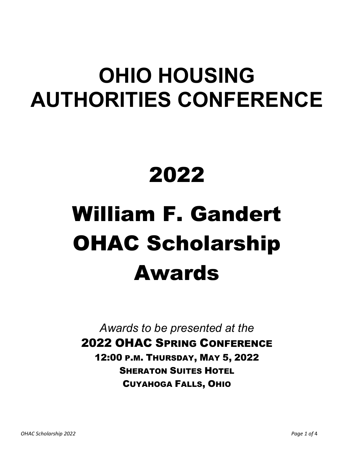## **OHIO HOUSING AUTHORITIES CONFERENCE**

### 2022

# William F. Gandert OHAC Scholarship Awards

*Awards to be presented at the* 2022 OHAC SPRING CONFERENCE 12:00 P.M. THURSDAY, MAY 5, 2022 SHERATON SUITES HOTEL CUYAHOGA FALLS, OHIO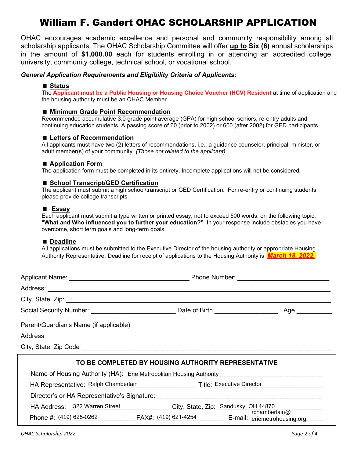### William F. Gandert OHAC SCHOLARSHIP APPLICATION

OHAC encourages academic excellence and personal and community responsibility among all scholarship applicants. The OHAC Scholarship Committee will offer **up to Six (6)** annual scholarships in the amount of **\$1,000.00** each for students enrolling in or attending an accredited college, university, community college, technical school, or vocational school.

#### *General Application Requirements and Eligibility Criteria of Applicants:*

#### **Status**

The **Applicant must be a Public Housing or Housing Choice Voucher (HCV) Resident** at time of application and the housing authority must be an OHAC Member.

#### **Minimum Grade Point Recommendation**

Recommended accumulative 3.0 grade point average (GPA) for high school seniors, re-entry adults and continuing education students. A passing score of 60 (prior to 2002) or 600 (after 2002) for GED participants.

#### **Letters of Recommendation**

All applicants must have two (2) letters of recommendations, i.e., a guidance counselor, principal, minister, or adult member(s) of your community. *(Those not related to the applicant).*

#### ■ Application Form

The application form must be completed in its entirety. Incomplete applications will not be considered.

#### ■ School Transcript/GED Certification

The applicant must submit a high school/transcript or GED Certification. For re-entry or continuing students please provide college transcripts.

#### **Essay**

Each applicant must submit a type written or printed essay, not to exceed 500 words, on the following topic: **"What and Who influenced you to further your education?"** In your response include obstacles you have overcome, short term goals and long-term goals.

#### **Deadline**

All applications must be submitted to the Executive Director of the housing authority or appropriate Housing Authority Representative. Deadline for receipt of applications to the Housing Authority is *March 18, 2022.*

| City, State, Zip: 2008. Experience of the State of Table 1999.                                                |                                                     |                 |
|---------------------------------------------------------------------------------------------------------------|-----------------------------------------------------|-----------------|
| Social Security Number: Date of Birth Contract of Birth Contract of Birth Contract of Birth Contract of Birth |                                                     | Age ___________ |
|                                                                                                               |                                                     |                 |
|                                                                                                               |                                                     |                 |
|                                                                                                               |                                                     |                 |
|                                                                                                               | TO BE COMPLETED BY HOUSING AUTHORITY REPRESENTATIVE |                 |

| Name of Housing Authority (HA): Erie Metropolitan Housing Authority |
|---------------------------------------------------------------------|
|---------------------------------------------------------------------|

HA Representative: Ralph Chamberlain Title: Executive Director

Director's or HA Representative's Signature:

HA Address: \_\_322 Warren Street \_\_\_\_\_\_\_\_\_\_\_\_\_\_\_\_\_City, State, Zip: \_Sandusky, OH 44870

Phone #: <u>(419) 625-0262 \_\_\_\_\_\_\_\_\_\_\_\_</u> FAX#: <u>(419) 621-4254 \_\_\_\_\_\_\_\_</u> E-mail: <u>.eriemetrohousing.org \_\_\_\_\_</u> Phone #: (419) 625-0262 FAX#: (419) 621-4254 rchamberlain@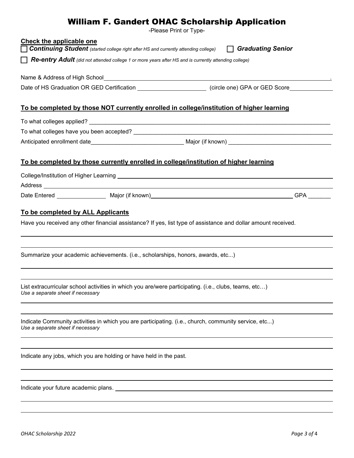| <b>William F. Gandert OHAC Scholarship Application</b><br>-Please Print or Type-                                                           |
|--------------------------------------------------------------------------------------------------------------------------------------------|
| Check the applicable one                                                                                                                   |
| $\Box$ Graduating Senior<br><b>Continuing Student</b> (started college right after HS and currently attending college)                     |
| Re-entry Adult (did not attended college 1 or more years after HS and is currently attending college)                                      |
|                                                                                                                                            |
| Date of HS Graduation OR GED Certification ________________________ (circle one) GPA or GED Score_____________                             |
| To be completed by those NOT currently enrolled in college/institution of higher learning                                                  |
|                                                                                                                                            |
|                                                                                                                                            |
|                                                                                                                                            |
| To be completed by those currently enrolled in college/institution of higher learning                                                      |
|                                                                                                                                            |
|                                                                                                                                            |
|                                                                                                                                            |
| Have you received any other financial assistance? If yes, list type of assistance and dollar amount received.                              |
| Summarize your academic achievements. (i.e., scholarships, honors, awards, etc)                                                            |
| List extracurricular school activities in which you are/were participating. (i.e., clubs, teams, etc)<br>Use a separate sheet if necessary |
| Indicate Community activities in which you are participating. (i.e., church, community service, etc)<br>Use a separate sheet if necessary  |
| Indicate any jobs, which you are holding or have held in the past.                                                                         |
| Indicate your future academic plans.                                                                                                       |
|                                                                                                                                            |